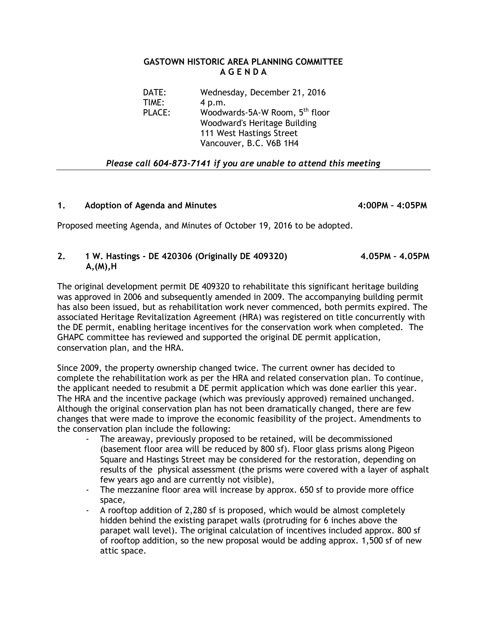#### **GASTOWN HISTORIC AREA PLANNING COMMITTEE A G E N D A**

| DATE:         | Wednesday, December 21, 2016               |
|---------------|--------------------------------------------|
| TIME:         | 4 p.m.                                     |
| <b>PLACE:</b> | Woodwards-5A-W Room, 5 <sup>th</sup> floor |
|               | Woodward's Heritage Building               |
|               | 111 West Hastings Street                   |
|               | Vancouver, B.C. V6B 1H4                    |

# *Please call 604-873-7141 if you are unable to attend this meeting*

### **1. Adoption of Agenda and Minutes 4:00PM – 4:05PM**

Proposed meeting Agenda, and Minutes of October 19, 2016 to be adopted.

## **2. 1 W. Hastings - DE 420306 (Originally DE 409320) 4.05PM – 4.05PM A,(M),H**

The original development permit DE 409320 to rehabilitate this significant heritage building was approved in 2006 and subsequently amended in 2009. The accompanying building permit has also been issued, but as rehabilitation work never commenced, both permits expired. The associated Heritage Revitalization Agreement (HRA) was registered on title concurrently with the DE permit, enabling heritage incentives for the conservation work when completed. The GHAPC committee has reviewed and supported the original DE permit application, conservation plan, and the HRA.

Since 2009, the property ownership changed twice. The current owner has decided to complete the rehabilitation work as per the HRA and related conservation plan. To continue, the applicant needed to resubmit a DE permit application which was done earlier this year. The HRA and the incentive package (which was previously approved) remained unchanged. Although the original conservation plan has not been dramatically changed, there are few changes that were made to improve the economic feasibility of the project. Amendments to the conservation plan include the following:

- The areaway, previously proposed to be retained, will be decommissioned (basement floor area will be reduced by 800 sf). Floor glass prisms along Pigeon Square and Hastings Street may be considered for the restoration, depending on results of the physical assessment (the prisms were covered with a layer of asphalt few years ago and are currently not visible),
- The mezzanine floor area will increase by approx. 650 sf to provide more office space,
- A rooftop addition of 2,280 sf is proposed, which would be almost completely hidden behind the existing parapet walls (protruding for 6 inches above the parapet wall level). The original calculation of incentives included approx. 800 sf of rooftop addition, so the new proposal would be adding approx. 1,500 sf of new attic space.